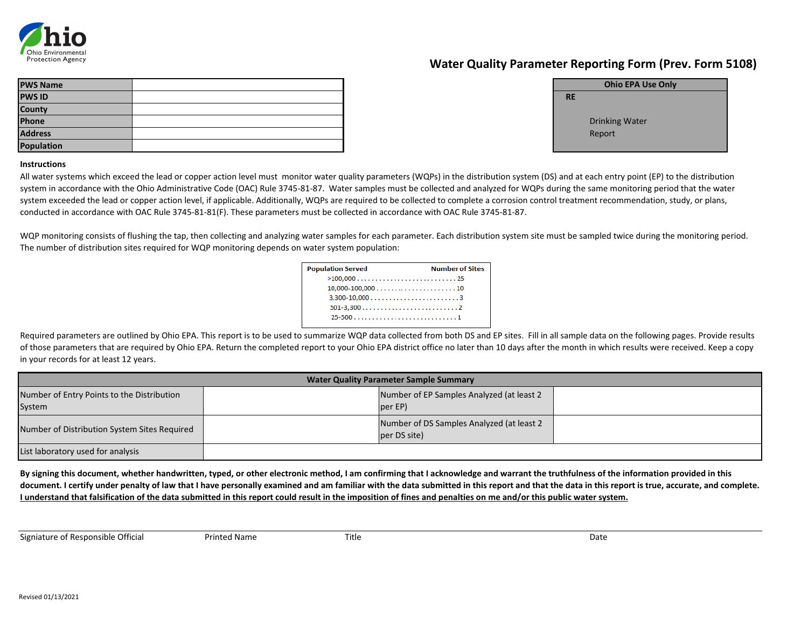| <b>PWS Name</b>   |  |           |
|-------------------|--|-----------|
| <b>PWS ID</b>     |  | <b>RE</b> |
| County            |  |           |
| Phone             |  |           |
| <b>Address</b>    |  |           |
| <b>Population</b> |  |           |

Drinking Water Report

## **Instructions**

## **Water Quality Parameter Reporting Form (Prev. Form 5108)**

**Ohio EPA Use Only**

**By signing this document, whether handwritten, typed, or other electronic method, I am confirming that I acknowledge and warrant the truthfulness of the information provided in this document. I certify under penalty of law that I have personally examined and am familiar with the data submitted in this report and that the data in this report is true, accurate, and complete. I understand that falsification of the data submitted in this report could result in the imposition of fines and penalties on me and/or this public water system.**

Signiature of Responsible Official **Printed Name** Printed Name Title **Name School** Date



All water systems which exceed the lead or copper action level must monitor water quality parameters (WQPs) in the distribution system (DS) and at each entry point (EP) to the distribution system in accordance with the Ohio Administrative Code (OAC) Rule 3745-81-87. Water samples must be collected and analyzed for WQPs during the same monitoring period that the water system exceeded the lead or copper action level, if applicable. Additionally, WQPs are required to be collected to complete a corrosion control treatment recommendation, study, or plans, conducted in accordance with OAC Rule 3745-81-81(F). These parameters must be collected in accordance with OAC Rule 3745-81-87.

WQP monitoring consists of flushing the tap, then collecting and analyzing water samples for each parameter. Each distribution system site must be sampled twice during the monitoring period. The number of distribution sites required for WQP monitoring depends on water system population:

| <b>Population Served</b>                                       | <b>Number of Sites</b> |
|----------------------------------------------------------------|------------------------|
|                                                                |                        |
| $10,000-100,000 \ldots \ldots \ldots \ldots \ldots \ldots 10$  |                        |
|                                                                |                        |
| $501-3,300 \ldots \ldots \ldots \ldots \ldots \ldots \ldots 2$ |                        |
|                                                                |                        |
|                                                                |                        |

Required parameters are outlined by Ohio EPA. This report is to be used to summarize WQP data collected from both DS and EP sites. Fill in all sample data on the following pages. Provide results of those parameters that are required by Ohio EPA. Return the completed report to your Ohio EPA district office no later than 10 days after the month in which results were received. Keep a copy in your records for at least 12 years.

|                                                      | <b>Water Quality Parameter Sample Summary</b>              |  |  |  |  |  |  |  |
|------------------------------------------------------|------------------------------------------------------------|--|--|--|--|--|--|--|
| Number of Entry Points to the Distribution<br>System | Number of EP Samples Analyzed (at least 2)<br>per EP)      |  |  |  |  |  |  |  |
| Number of Distribution System Sites Required         | Number of DS Samples Analyzed (at least 2)<br>per DS site) |  |  |  |  |  |  |  |
| List laboratory used for analysis                    |                                                            |  |  |  |  |  |  |  |